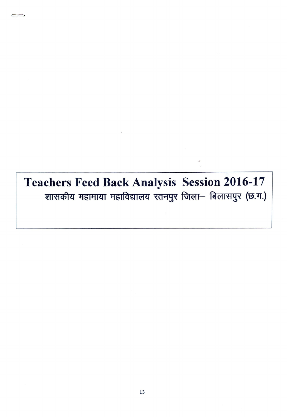Teachers Feed Back Analysis Session 2016-17 शासकीय महामाया महाविद्यालय रतनपुर जिला- बिलासपुर (छ.ग.)